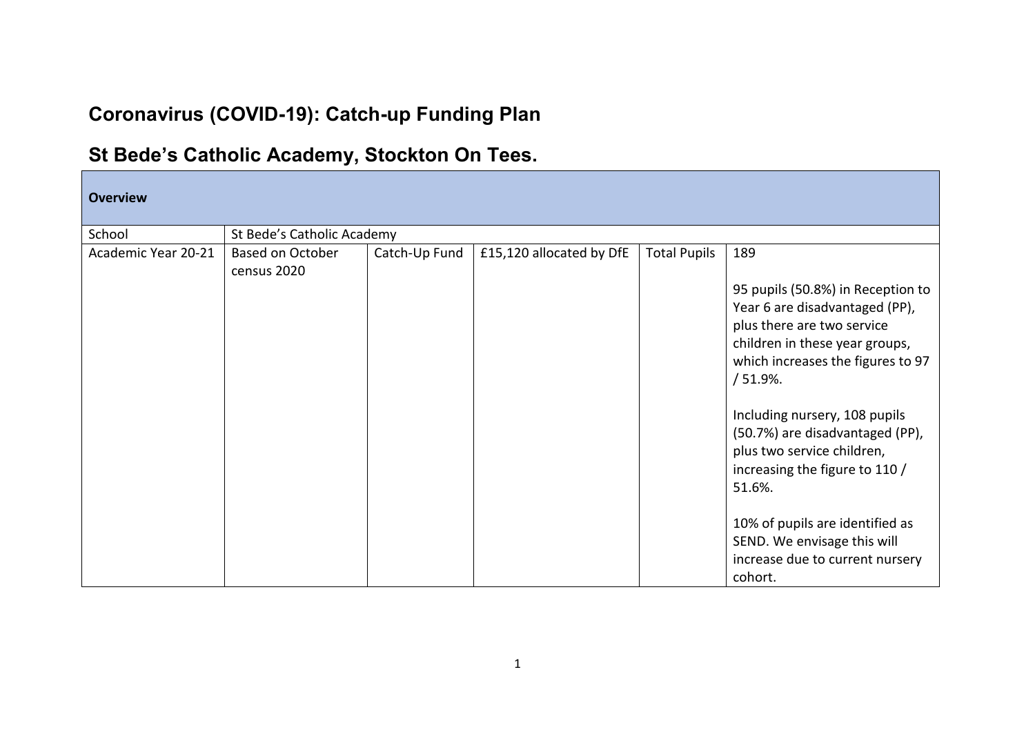## **Coronavirus (COVID-19): Catch-up Funding Plan**

## **St Bede's Catholic Academy, Stockton On Tees.**

| <b>Overview</b>     |                                        |               |                          |                     |                                                                                                                                                                                                                                                                                                                                                                                |  |  |
|---------------------|----------------------------------------|---------------|--------------------------|---------------------|--------------------------------------------------------------------------------------------------------------------------------------------------------------------------------------------------------------------------------------------------------------------------------------------------------------------------------------------------------------------------------|--|--|
| School              | St Bede's Catholic Academy             |               |                          |                     |                                                                                                                                                                                                                                                                                                                                                                                |  |  |
| Academic Year 20-21 | <b>Based on October</b><br>census 2020 | Catch-Up Fund | £15,120 allocated by DfE | <b>Total Pupils</b> | 189<br>95 pupils (50.8%) in Reception to<br>Year 6 are disadvantaged (PP),<br>plus there are two service<br>children in these year groups,<br>which increases the figures to 97<br>$/51.9%$ .<br>Including nursery, 108 pupils<br>(50.7%) are disadvantaged (PP),<br>plus two service children,<br>increasing the figure to 110 /<br>51.6%.<br>10% of pupils are identified as |  |  |
|                     |                                        |               |                          |                     | SEND. We envisage this will<br>increase due to current nursery<br>cohort.                                                                                                                                                                                                                                                                                                      |  |  |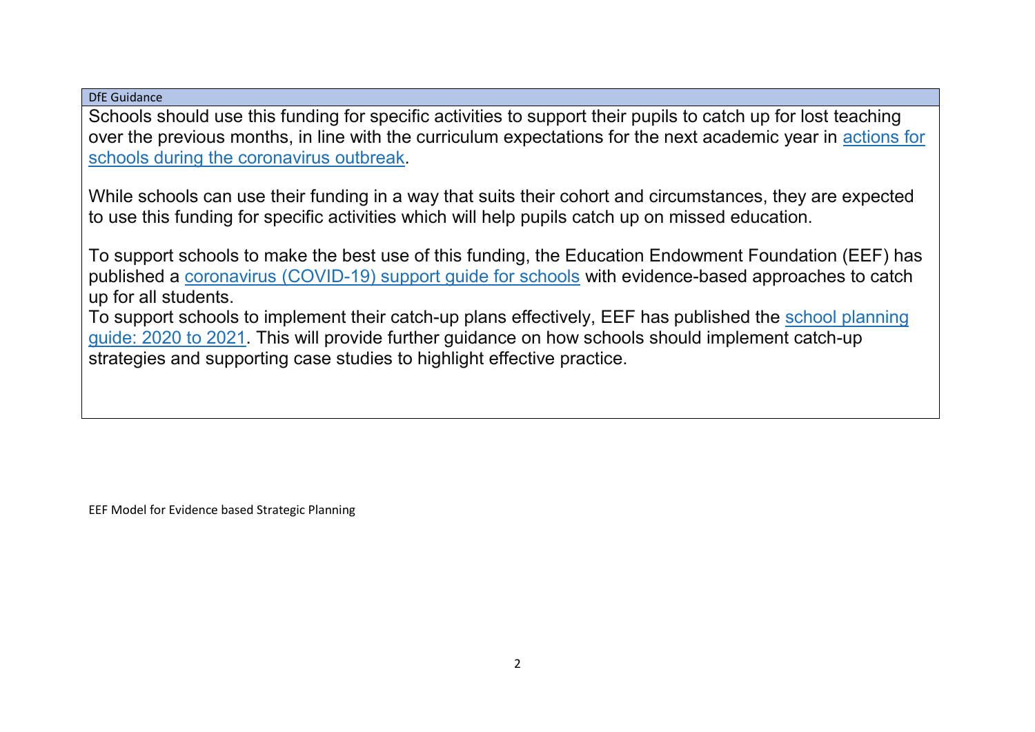DfE Guidance

Schools should use this funding for specific activities to support their pupils to catch up for lost teaching over the previous months, in line with the curriculum expectations for the next academic year in [actions for](https://www.gov.uk/government/publications/actions-for-schools-during-the-coronavirus-outbreak/guidance-for-full-opening-schools#section-3-curriculum-behaviour-and-pastoral-support)  [schools during the coronavirus outbreak.](https://www.gov.uk/government/publications/actions-for-schools-during-the-coronavirus-outbreak/guidance-for-full-opening-schools#section-3-curriculum-behaviour-and-pastoral-support)

While schools can use their funding in a way that suits their cohort and circumstances, they are expected to use this funding for specific activities which will help pupils catch up on missed education.

To support schools to make the best use of this funding, the Education Endowment Foundation (EEF) has published a [coronavirus \(COVID-19\) support guide for schools](https://educationendowmentfoundation.org.uk/covid-19-resources/covid-19-support-guide-for-schools/#nav-covid-19-support-guide-for-schools1) with evidence-based approaches to catch up for all students.

To support schools to implement their catch-up plans effectively, EEF has published the [school planning](https://educationendowmentfoundation.org.uk/covid-19-resources/guide-to-supporting-schools-planning/)  [guide: 2020](https://educationendowmentfoundation.org.uk/covid-19-resources/guide-to-supporting-schools-planning/) to 2021. This will provide further guidance on how schools should implement catch-up strategies and supporting case studies to highlight effective practice.

EEF Model for Evidence based Strategic Planning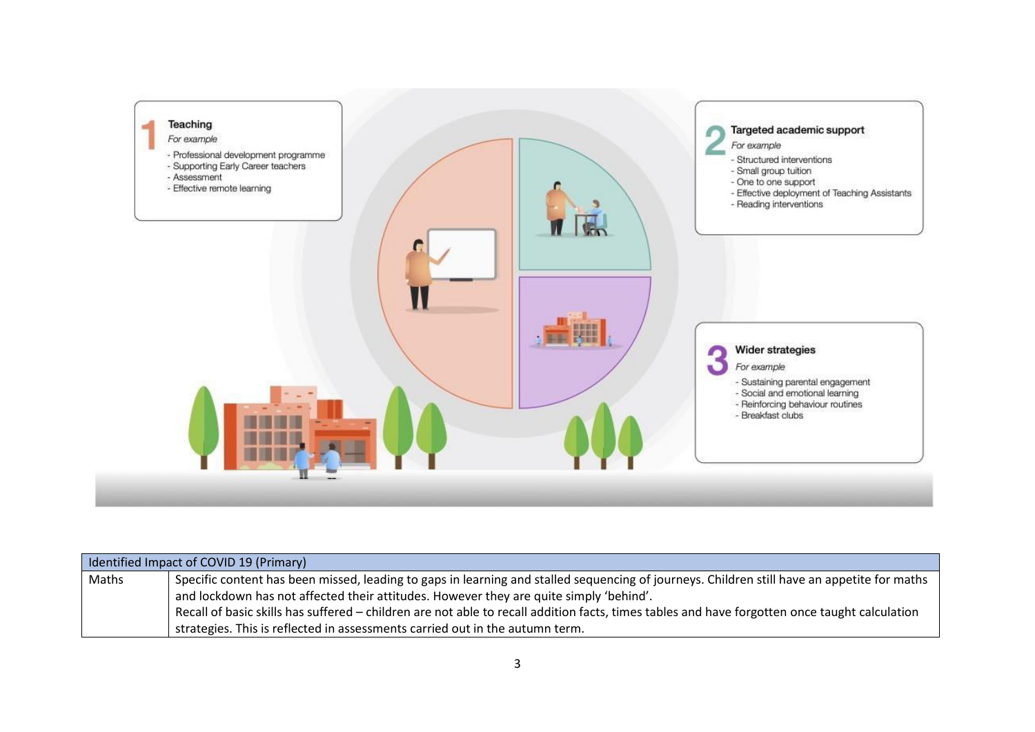

| Identified Impact of COVID 19 (Primary) |                                                                                                                                               |  |  |  |
|-----------------------------------------|-----------------------------------------------------------------------------------------------------------------------------------------------|--|--|--|
| Maths                                   | Specific content has been missed, leading to gaps in learning and stalled sequencing of journeys. Children still have an appetite for maths   |  |  |  |
|                                         | and lockdown has not affected their attitudes. However they are quite simply 'behind'.                                                        |  |  |  |
|                                         | Recall of basic skills has suffered – children are not able to recall addition facts, times tables and have forgotten once taught calculation |  |  |  |
|                                         | strategies. This is reflected in assessments carried out in the autumn term.                                                                  |  |  |  |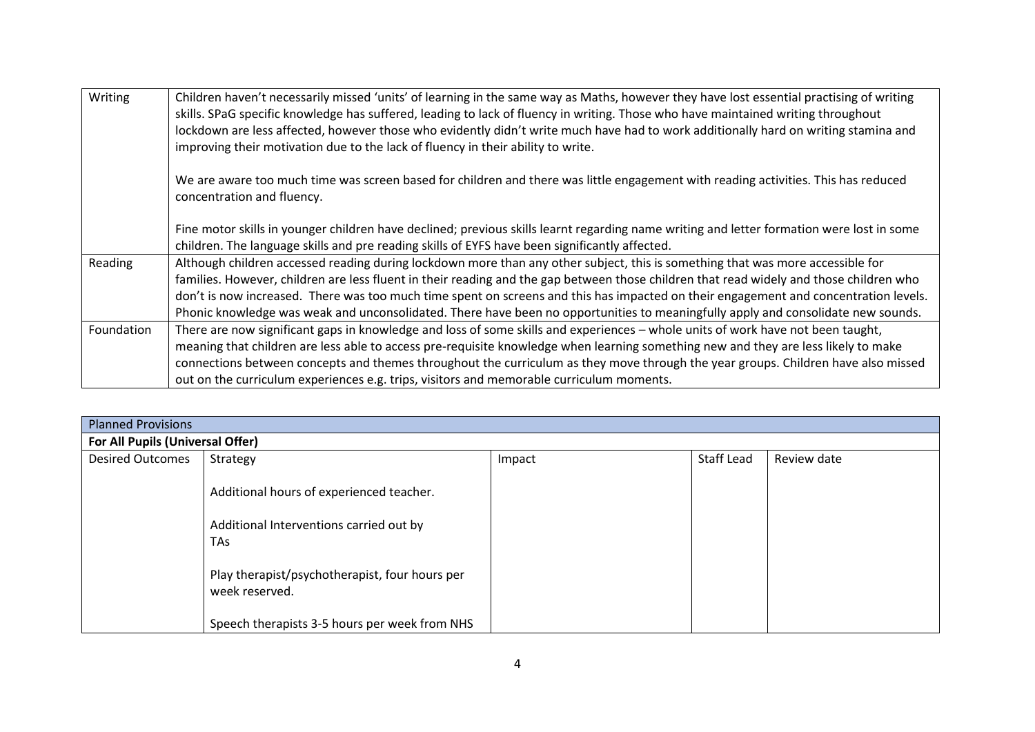| Writing    | Children haven't necessarily missed 'units' of learning in the same way as Maths, however they have lost essential practising of writing<br>skills. SPaG specific knowledge has suffered, leading to lack of fluency in writing. Those who have maintained writing throughout                                                                                                                                                                                                                                                                         |
|------------|-------------------------------------------------------------------------------------------------------------------------------------------------------------------------------------------------------------------------------------------------------------------------------------------------------------------------------------------------------------------------------------------------------------------------------------------------------------------------------------------------------------------------------------------------------|
|            | lockdown are less affected, however those who evidently didn't write much have had to work additionally hard on writing stamina and<br>improving their motivation due to the lack of fluency in their ability to write.                                                                                                                                                                                                                                                                                                                               |
|            | We are aware too much time was screen based for children and there was little engagement with reading activities. This has reduced<br>concentration and fluency.                                                                                                                                                                                                                                                                                                                                                                                      |
|            | Fine motor skills in younger children have declined; previous skills learnt regarding name writing and letter formation were lost in some<br>children. The language skills and pre reading skills of EYFS have been significantly affected.                                                                                                                                                                                                                                                                                                           |
| Reading    | Although children accessed reading during lockdown more than any other subject, this is something that was more accessible for<br>families. However, children are less fluent in their reading and the gap between those children that read widely and those children who<br>don't is now increased. There was too much time spent on screens and this has impacted on their engagement and concentration levels.<br>Phonic knowledge was weak and unconsolidated. There have been no opportunities to meaningfully apply and consolidate new sounds. |
| Foundation | There are now significant gaps in knowledge and loss of some skills and experiences - whole units of work have not been taught,<br>meaning that children are less able to access pre-requisite knowledge when learning something new and they are less likely to make<br>connections between concepts and themes throughout the curriculum as they move through the year groups. Children have also missed<br>out on the curriculum experiences e.g. trips, visitors and memorable curriculum moments.                                                |

| <b>Planned Provisions</b>        |                                                                  |        |            |             |  |  |
|----------------------------------|------------------------------------------------------------------|--------|------------|-------------|--|--|
| For All Pupils (Universal Offer) |                                                                  |        |            |             |  |  |
| <b>Desired Outcomes</b>          | Strategy                                                         | Impact | Staff Lead | Review date |  |  |
|                                  | Additional hours of experienced teacher.                         |        |            |             |  |  |
|                                  | Additional Interventions carried out by<br><b>TAs</b>            |        |            |             |  |  |
|                                  | Play therapist/psychotherapist, four hours per<br>week reserved. |        |            |             |  |  |
|                                  | Speech therapists 3-5 hours per week from NHS                    |        |            |             |  |  |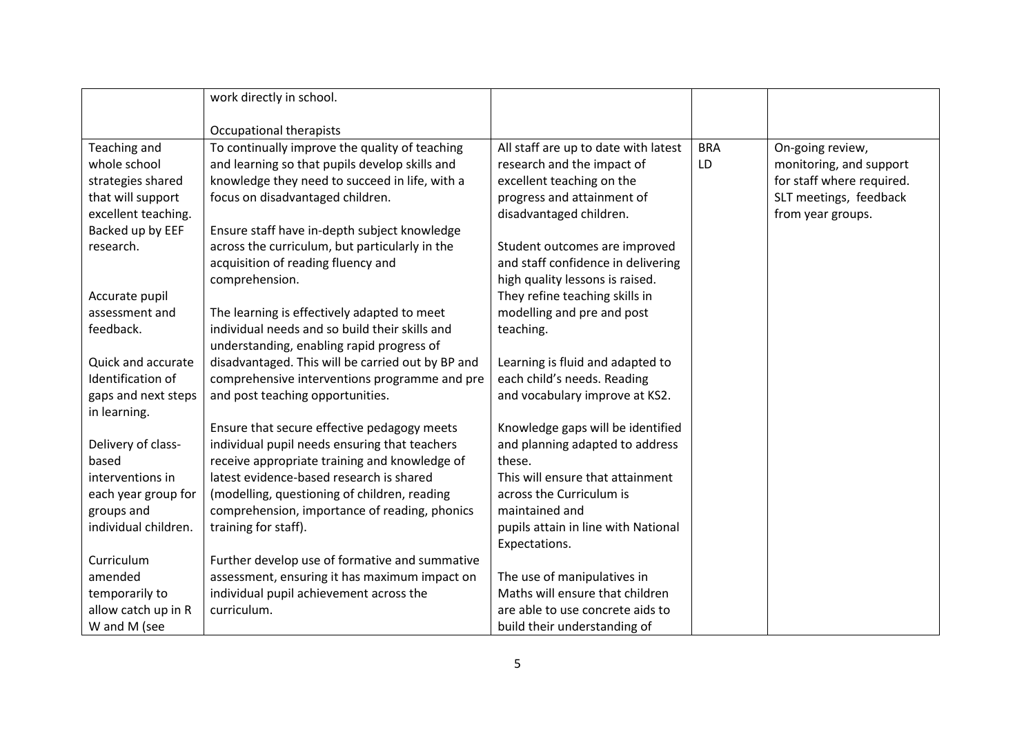|                      | work directly in school.                          |                                      |            |                           |
|----------------------|---------------------------------------------------|--------------------------------------|------------|---------------------------|
|                      |                                                   |                                      |            |                           |
|                      | Occupational therapists                           |                                      |            |                           |
| Teaching and         | To continually improve the quality of teaching    | All staff are up to date with latest | <b>BRA</b> | On-going review,          |
| whole school         | and learning so that pupils develop skills and    | research and the impact of           | LD         | monitoring, and support   |
| strategies shared    | knowledge they need to succeed in life, with a    | excellent teaching on the            |            | for staff where required. |
| that will support    | focus on disadvantaged children.                  | progress and attainment of           |            | SLT meetings, feedback    |
| excellent teaching.  |                                                   | disadvantaged children.              |            | from year groups.         |
| Backed up by EEF     | Ensure staff have in-depth subject knowledge      |                                      |            |                           |
| research.            | across the curriculum, but particularly in the    | Student outcomes are improved        |            |                           |
|                      | acquisition of reading fluency and                | and staff confidence in delivering   |            |                           |
|                      | comprehension.                                    | high quality lessons is raised.      |            |                           |
| Accurate pupil       |                                                   | They refine teaching skills in       |            |                           |
| assessment and       | The learning is effectively adapted to meet       | modelling and pre and post           |            |                           |
| feedback.            | individual needs and so build their skills and    | teaching.                            |            |                           |
|                      | understanding, enabling rapid progress of         |                                      |            |                           |
| Quick and accurate   | disadvantaged. This will be carried out by BP and | Learning is fluid and adapted to     |            |                           |
| Identification of    | comprehensive interventions programme and pre     | each child's needs. Reading          |            |                           |
| gaps and next steps  | and post teaching opportunities.                  | and vocabulary improve at KS2.       |            |                           |
| in learning.         |                                                   |                                      |            |                           |
|                      | Ensure that secure effective pedagogy meets       | Knowledge gaps will be identified    |            |                           |
| Delivery of class-   | individual pupil needs ensuring that teachers     | and planning adapted to address      |            |                           |
| based                | receive appropriate training and knowledge of     | these.                               |            |                           |
| interventions in     | latest evidence-based research is shared          | This will ensure that attainment     |            |                           |
| each year group for  | (modelling, questioning of children, reading      | across the Curriculum is             |            |                           |
| groups and           | comprehension, importance of reading, phonics     | maintained and                       |            |                           |
| individual children. | training for staff).                              | pupils attain in line with National  |            |                           |
|                      |                                                   | Expectations.                        |            |                           |
| Curriculum           | Further develop use of formative and summative    |                                      |            |                           |
| amended              | assessment, ensuring it has maximum impact on     | The use of manipulatives in          |            |                           |
| temporarily to       | individual pupil achievement across the           | Maths will ensure that children      |            |                           |
| allow catch up in R  | curriculum.                                       | are able to use concrete aids to     |            |                           |
| W and M (see         |                                                   | build their understanding of         |            |                           |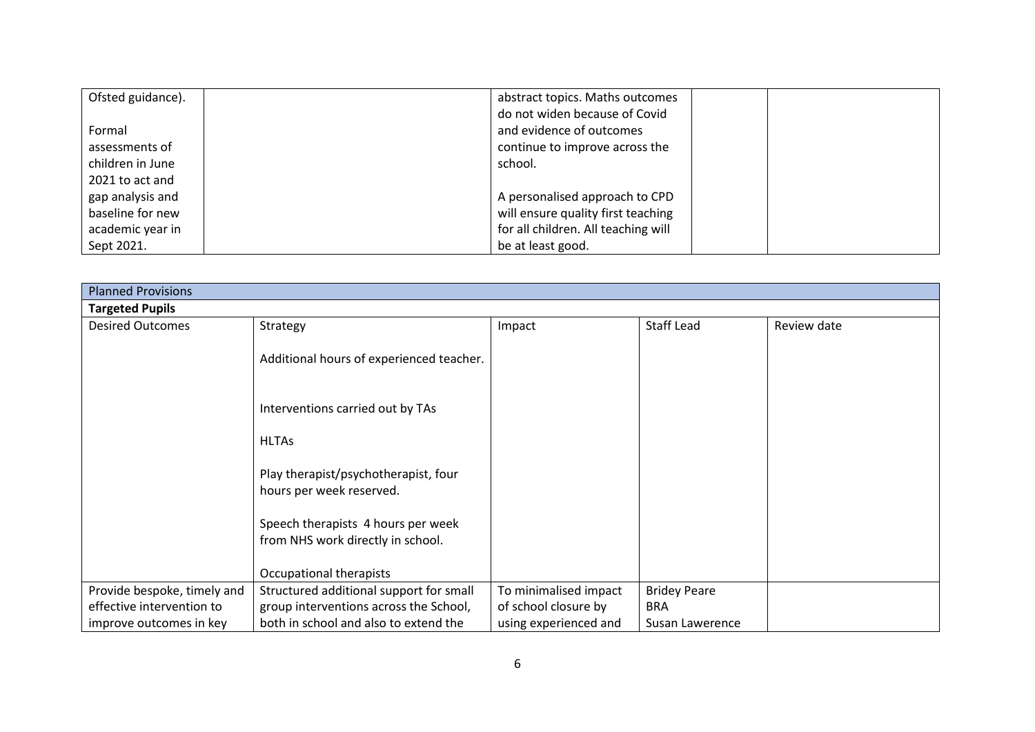| Ofsted guidance). | abstract topics. Maths outcomes     |
|-------------------|-------------------------------------|
|                   | do not widen because of Covid       |
| Formal            | and evidence of outcomes            |
| assessments of    | continue to improve across the      |
| children in June  | school.                             |
| 2021 to act and   |                                     |
| gap analysis and  | A personalised approach to CPD      |
| baseline for new  | will ensure quality first teaching  |
| academic year in  | for all children. All teaching will |
| Sept 2021.        | be at least good.                   |

| <b>Planned Provisions</b>   |                                                                         |                       |                     |             |  |  |
|-----------------------------|-------------------------------------------------------------------------|-----------------------|---------------------|-------------|--|--|
| <b>Targeted Pupils</b>      |                                                                         |                       |                     |             |  |  |
| <b>Desired Outcomes</b>     | Strategy                                                                | Impact                | <b>Staff Lead</b>   | Review date |  |  |
|                             | Additional hours of experienced teacher.                                |                       |                     |             |  |  |
|                             | Interventions carried out by TAs                                        |                       |                     |             |  |  |
|                             | <b>HLTAs</b>                                                            |                       |                     |             |  |  |
|                             | Play therapist/psychotherapist, four<br>hours per week reserved.        |                       |                     |             |  |  |
|                             | Speech therapists 4 hours per week<br>from NHS work directly in school. |                       |                     |             |  |  |
|                             | Occupational therapists                                                 |                       |                     |             |  |  |
| Provide bespoke, timely and | Structured additional support for small                                 | To minimalised impact | <b>Bridey Peare</b> |             |  |  |
| effective intervention to   | group interventions across the School,                                  | of school closure by  | <b>BRA</b>          |             |  |  |
| improve outcomes in key     | both in school and also to extend the                                   | using experienced and | Susan Lawerence     |             |  |  |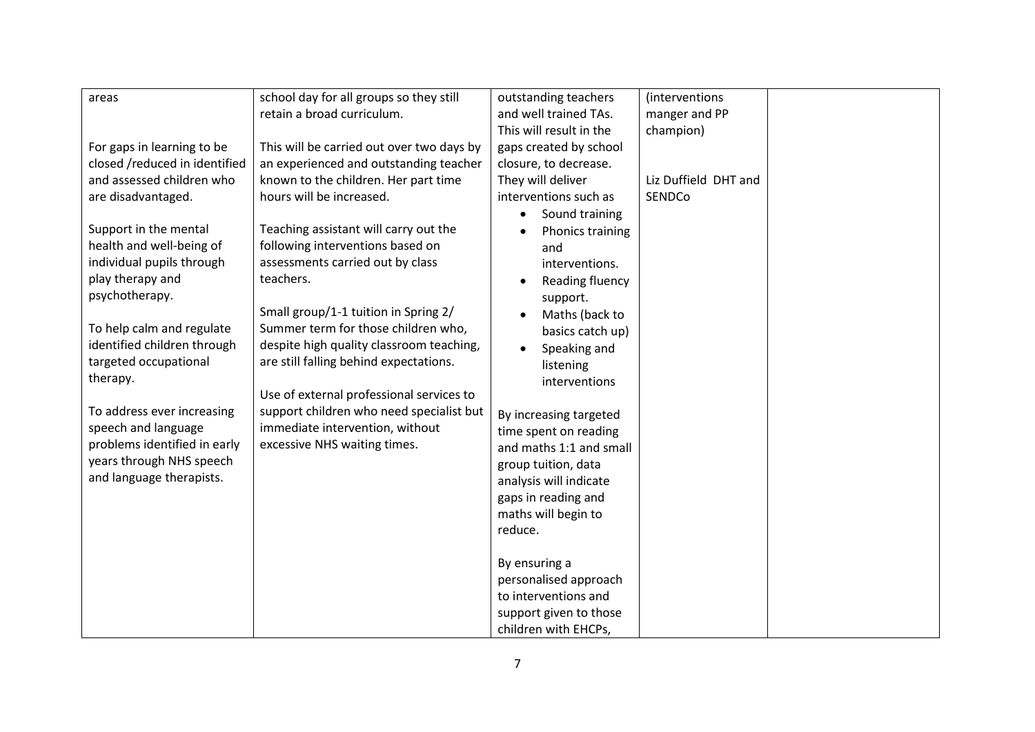| areas                         | school day for all groups so they still   | outstanding teachers          | (interventions)      |  |
|-------------------------------|-------------------------------------------|-------------------------------|----------------------|--|
|                               | retain a broad curriculum.                | and well trained TAs.         | manger and PP        |  |
|                               |                                           | This will result in the       | champion)            |  |
| For gaps in learning to be    | This will be carried out over two days by | gaps created by school        |                      |  |
| closed /reduced in identified | an experienced and outstanding teacher    | closure, to decrease.         |                      |  |
| and assessed children who     | known to the children. Her part time      | They will deliver             | Liz Duffield DHT and |  |
| are disadvantaged.            | hours will be increased.                  | interventions such as         | SENDCo               |  |
|                               |                                           | Sound training<br>$\bullet$   |                      |  |
| Support in the mental         | Teaching assistant will carry out the     | Phonics training<br>$\bullet$ |                      |  |
| health and well-being of      | following interventions based on          | and                           |                      |  |
| individual pupils through     | assessments carried out by class          | interventions.                |                      |  |
| play therapy and              | teachers.                                 | Reading fluency<br>$\bullet$  |                      |  |
| psychotherapy.                |                                           | support.                      |                      |  |
|                               | Small group/1-1 tuition in Spring 2/      | Maths (back to                |                      |  |
| To help calm and regulate     | Summer term for those children who,       | basics catch up)              |                      |  |
| identified children through   | despite high quality classroom teaching,  | Speaking and<br>$\bullet$     |                      |  |
| targeted occupational         | are still falling behind expectations.    | listening                     |                      |  |
| therapy.                      |                                           | interventions                 |                      |  |
|                               | Use of external professional services to  |                               |                      |  |
| To address ever increasing    | support children who need specialist but  | By increasing targeted        |                      |  |
| speech and language           | immediate intervention, without           | time spent on reading         |                      |  |
| problems identified in early  | excessive NHS waiting times.              | and maths 1:1 and small       |                      |  |
| years through NHS speech      |                                           | group tuition, data           |                      |  |
| and language therapists.      |                                           | analysis will indicate        |                      |  |
|                               |                                           | gaps in reading and           |                      |  |
|                               |                                           | maths will begin to           |                      |  |
|                               |                                           | reduce.                       |                      |  |
|                               |                                           |                               |                      |  |
|                               |                                           | By ensuring a                 |                      |  |
|                               |                                           | personalised approach         |                      |  |
|                               |                                           | to interventions and          |                      |  |
|                               |                                           | support given to those        |                      |  |
|                               |                                           | children with EHCPs,          |                      |  |